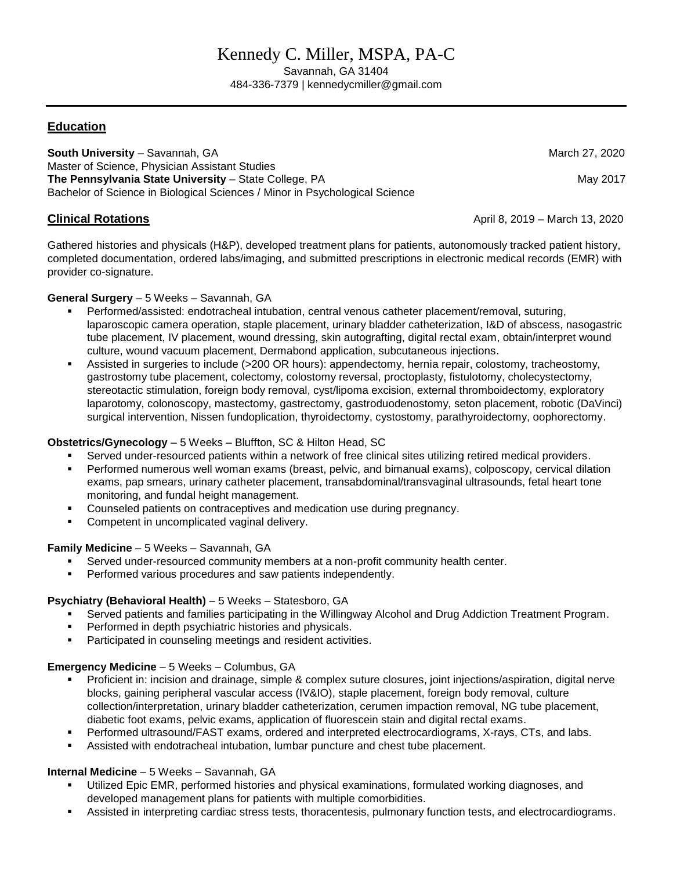# Kennedy C. Miller, MSPA, PA-C

Savannah, GA 31404 484-336-7379 | kennedycmiller@gmail.com

# **Education**

**South University – Savannah, GA March 27, 2020** March 27, 2020 Master of Science, Physician Assistant Studies **The Pennsylvania State University – State College, PA May 2017** May 2017 Bachelor of Science in Biological Sciences / Minor in Psychological Science

**Clinical Rotations April 8, 2019 – March 13, 2020** 

Gathered histories and physicals (H&P), developed treatment plans for patients, autonomously tracked patient history, completed documentation, ordered labs/imaging, and submitted prescriptions in electronic medical records (EMR) with provider co-signature.

### **General Surgery** – 5 Weeks – Savannah, GA

- Performed/assisted: endotracheal intubation, central venous catheter placement/removal, suturing, laparoscopic camera operation, staple placement, urinary bladder catheterization, I&D of abscess, nasogastric tube placement, IV placement, wound dressing, skin autografting, digital rectal exam, obtain/interpret wound culture, wound vacuum placement, Dermabond application, subcutaneous injections.
- Assisted in surgeries to include (>200 OR hours): appendectomy, hernia repair, colostomy, tracheostomy, gastrostomy tube placement, colectomy, colostomy reversal, proctoplasty, fistulotomy, cholecystectomy, stereotactic stimulation, foreign body removal, cyst/lipoma excision, external thromboidectomy, exploratory laparotomy, colonoscopy, mastectomy, gastrectomy, gastroduodenostomy, seton placement, robotic (DaVinci) surgical intervention, Nissen fundoplication, thyroidectomy, cystostomy, parathyroidectomy, oophorectomy.

# **Obstetrics/Gynecology** – 5 Weeks – Bluffton, SC & Hilton Head, SC

- Served under-resourced patients within a network of free clinical sites utilizing retired medical providers.
- Performed numerous well woman exams (breast, pelvic, and bimanual exams), colposcopy, cervical dilation exams, pap smears, urinary catheter placement, transabdominal/transvaginal ultrasounds, fetal heart tone monitoring, and fundal height management.
- Counseled patients on contraceptives and medication use during pregnancy.
- Competent in uncomplicated vaginal delivery.

# **Family Medicine** – 5 Weeks – Savannah, GA

- Served under-resourced community members at a non-profit community health center.
- **Performed various procedures and saw patients independently.**

# **Psychiatry (Behavioral Health)** – 5 Weeks – Statesboro, GA

- Served patients and families participating in the Willingway Alcohol and Drug Addiction Treatment Program.
- **Performed in depth psychiatric histories and physicals.**
- **Participated in counseling meetings and resident activities.**

#### **Emergency Medicine** – 5 Weeks – Columbus, GA

- Proficient in: incision and drainage, simple & complex suture closures, joint injections/aspiration, digital nerve blocks, gaining peripheral vascular access (IV&IO), staple placement, foreign body removal, culture collection/interpretation, urinary bladder catheterization, cerumen impaction removal, NG tube placement, diabetic foot exams, pelvic exams, application of fluorescein stain and digital rectal exams.
- Performed ultrasound/FAST exams, ordered and interpreted electrocardiograms, X-rays, CTs, and labs.
- Assisted with endotracheal intubation, lumbar puncture and chest tube placement.

#### **Internal Medicine** – 5 Weeks – Savannah, GA

- Utilized Epic EMR, performed histories and physical examinations, formulated working diagnoses, and developed management plans for patients with multiple comorbidities.
- Assisted in interpreting cardiac stress tests, thoracentesis, pulmonary function tests, and electrocardiograms.